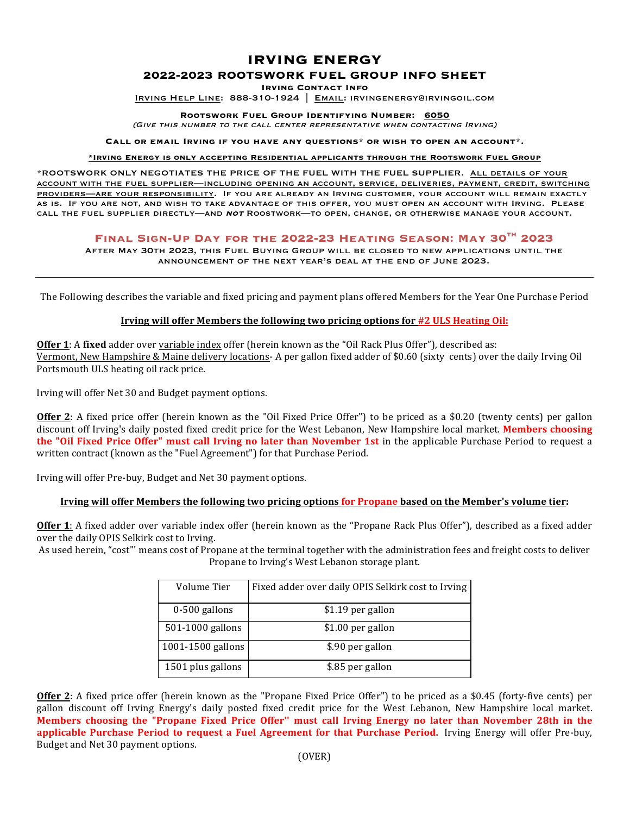# **IRVING ENERGY**

### **2022-2023 ROOTSWORK FUEL GROUP INFO SHEET**

**Irving Contact Info**

Irving Help Line: 888-310-1924 | Email: irvingenergy@irvingoil.com

**Rootswork Fuel Group Identifying Number: 6050** 

(Give this number to the call center representative when contacting Irving)

**Call or email Irving if you have any questions\* or wish to open an account\*.**

**\*Irving Energy is only accepting Residential applicants through the Rootswork Fuel Group**

\*ROOTSWORK ONLY NEGOTIATES THE PRICE OF THE FUEL WITH THE FUEL SUPPLIER. All details of your account with the fuel supplier—including opening an account, service, deliveries, payment, credit, switching providers—are your responsibility. If you are already an Irving customer, your account will remain exactly as is. If you are not, and wish to take advantage of this offer, you must open an account with Irving. Please call the fuel supplier directly—and **not** Roostwork—to open, change, or otherwise manage your account.

## **Final Sign-Up Day for the 2022-23 Heating Season: May 30th 2023**

After May 30th 2023, this Fuel Buying Group will be closed to new applications until the announcement of the next year's deal at the end of June 2023.

The Following describes the variable and fixed pricing and payment plans offered Members for the Year One Purchase Period

#### **Irving will offer Members the following two pricing options for #2 ULS Heating Oil:**

**Offer 1**: A fixed adder over variable index offer (herein known as the "Oil Rack Plus Offer"), described as: Vermont, New Hampshire & Maine delivery locations- A per gallon fixed adder of \$0.60 (sixty cents) over the daily Irving Oil Portsmouth ULS heating oil rack price.

Irving will offer Net 30 and Budget payment options.

**Offer 2**: A fixed price offer (herein known as the "Oil Fixed Price Offer") to be priced as a \$0.20 (twenty cents) per gallon discount off Irving's daily posted fixed credit price for the West Lebanon, New Hampshire local market. **Members choosing the "Oil Fixed Price Offer" must call Irving no later than November 1st** in the applicable Purchase Period to request a written contract (known as the "Fuel Agreement") for that Purchase Period.

Irving will offer Pre-buy, Budget and Net 30 payment options.

#### **Irving will offer Members the following two pricing options for Propane based on the Member's volume tier:**

**Offer 1**: A fixed adder over variable index offer (herein known as the "Propane Rack Plus Offer"), described as a fixed adder over the daily OPIS Selkirk cost to Irving.

As used herein, "cost"' means cost of Propane at the terminal together with the administration fees and freight costs to deliver Propane to Irving's West Lebanon storage plant.

| Volume Tier       | Fixed adder over daily OPIS Selkirk cost to Irving |
|-------------------|----------------------------------------------------|
| $0-500$ gallons   | \$1.19 per gallon                                  |
| 501-1000 gallons  | \$1.00 per gallon                                  |
| 1001-1500 gallons | \$.90 per gallon                                   |
| 1501 plus gallons | \$.85 per gallon                                   |

**Offer 2**: A fixed price offer (herein known as the "Propane Fixed Price Offer") to be priced as a \$0.45 (forty-five cents) per gallon discount off Irving Energy's daily posted fixed credit price for the West Lebanon, New Hampshire local market. **Members choosing the "Propane Fixed Price Offer" must call Irving Energy no later than November 28th in the** applicable Purchase Period to request a Fuel Agreement for that Purchase Period. Irving Energy will offer Pre-buy, Budget and Net 30 payment options.